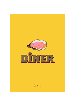

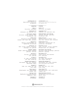#### **FORRETTER**

**Østers** 40 *Fine de Claire - rosévinaigrette* 

**Jomfruhummer** 230 *Jomfruhummer – aïoli - grillet brød – citron* 

**Halv hummer / dagspris** *Halv hummer – urtesmør – grillet brød – citron – dild mayonnaise – frisée* 

**Moules** 135/185 *Blåmuslinger fra Limfjorden - gulerødder - bladselleri - citron - hvidvin - fløde - mascarpone* 

> **Røget laks** 185 *Røget laks – karamelliseret æble – chili – rugbrøds chips – urte mayonnaise*

**Fruit de mer /** 450 *Østers – rosé rejer – krabbeklo – jomfruhummer – blåmuslinger – aïoli – grillet brød*

**Fjordrejer / dagspris** *Fjordrejer – syltede hvide asparges – grillet toast – grillet citron – mayonnaise*

> **Rosé rejer** 165 *Pil selv rejer – citron mayonnaise – citron – grillet brød*

> **Tun tatar** 165 *Tun – æbler – citron mayonnaise – urter – hørfrø – kartoffel chips*

**Dampede hvide asparges** 190 *Hvide asparges – ærter – salat – Hollandaise Tilkøb fjordrejer / dagspris*

> **Escargots** 130 *Snegle - smør - hvidløg - citron - brød - tomat - persille*

**Chèvre chaud** 135 *Gratineret gedeost - salat – ristede valnødder - vinaigrette – beder* 

**Rørt tatar** 135/185 *90g/140g tatar af dansk jersey okseinderlår - æggeblomme - cognac* 

> **Charcuterie** 140 *Små delikatesser*

# **STARTERS**

**Oysters** €5.75 *Fine de Claire - rosé vinaigrette* 

**Langoustines** €32.75 *Langoustines – aïoli - grilled bread – lemon*

**Grilled half lobster / price of the day** *Half lobster – herb butter – grilled bread – dill mayonnaise – frisée*

**Moules** €19.25/26.50 *Blue-lipped mussels from Limfjorden - carrots celery - lemon - white wine - cream - mascarpone*

**Smoked salmon** €26.50 *Smoked salmon - caramelized apple - chili rye bread chips - herb mayonaise* 

**Fruit de mer /** €64.25 *Oysters – rosé shrimps – crab claw – langoustines – Blue-lipped mussels – aïoli – grilled bread*

**Fjord shrimps / price of the day** *Fjord shrimps – pickled white asparagus – grilled toast – grilled lemon – mayonnaise* 

**Rosé shrimps** €23.50 *Shrimps in the shell – lemon mayonnaise – lemon – grilled bread*

**Tuna tartare** €23.50 *Tuna – apples – lemon mayonnaise – herbs – flaxseed – potato chips* 

**Steamed white asparagus** €27 *White asparagus – peas – salade – Hollandaise Add on Fjord shrimps / price of the day*

**Escargots** €18.50 *Snails - butter - garlic - lemon - bread tomato - parsley*

**Chèvre chaud** €19.25 *Goat's cheese au gratin - salad – roasted walnuts – vinaigrette - beets* 

**Stirred beef tartare** €19.25/26.50 *90g/140g tartare of Danish Jersey topside egg yolk - cognac*

**Charcuterie** €20 *Small delicacies*

## **3 RETTERS MENU** 395

*Spørg din tjener om aftenens menu og vegetarmenu* 

#### **3 COURSE MENU** €56.50

*Please ask your waiter about the evening menu and vegetarian menu*

Information om indhold af allergene ingredienser kan fås ved henvendelse til restaurantens personale

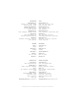#### **HOVEDRETTER**

## **Stegt helleflynder** 310 *Helleflynder – ærter - karotter – løvstikke – persille – beurre blanc – kartoffel*

**Meunierer-stegt rødspætte** 295 *Rødspætte – smørsauce – kapers – kartoffel - grillet citron* 

**Helstegt poussin** 295 *Poussin – kyllingesauce – agurkesalat – kartoffel*

> **Steak frites** 350 *Steak - bagt skalotteløg - fritter Vælg mellem béarnaise eller pebersauce*

 **Peberbøf** 395 *Oksemørbrad – Pommes Anna – haricots verts – tomat – pebersauce* 

#### **TILBEHØR**

**Fritter** 60 *Chilimayo* 

**Salade verte** 45

*Vinaigrette* 

**Kartofler** 45 *Smør - salt - persille*

**Béarnaise** 45

**MAINS** 

**Pan-fried halibut** €44.25 *Halibut – peas - baby carrots – lovage – parsley – beurre blanc – potato* 

**Meuniere-fried plaice** €42 *Plaice – buttersauce – capers – potato – grilled lemon* 

**Whole-fried Poussin** €42 *Poussin – chicken sauce – cucumber salade – potato* 

**Sæson grønt** 70 **Seasonal vegetables** €10

**Steak frites** €50 *Steak – baked shallots - chunky chips Choose between béarnaise sauce or pepper sauce* 

**Pepper steak** €56.50 *Beef tenderloin – Pommes Anna – haricots verts – tomatoes – pepper sauce* 

# **SIDE ORDERS Chunky chips** €8.50

*Chili mayo* 

**Salade verte** €6.50 *Vinaigrette* 

**Potatoes** €6.50 *Butter - salt - parsley*

**Béarnaise** €6.50

Information about the content of allergenic ingredients can be obtained from the restaurant's staff

**DESSERT OG OST**

**Hindbær tærte** 130

*Hindbær – vanilje creme – mørdejsbund*

**Bær** 125

*Bær – hyldeblomst – hasselnøds marengs*

 *– vaniljeis*

**Crêpes suzette** 125

*Flamberede pandekager - mandler*

**Crème brûlée** 130 *Fløde - fransk polynesisk vanilje*  **Crème brûlée** €18.50 *Cream - French Polynesian vanilla*

*- Grand Marnier - vaniljeis*

**Ost** pr. stk. 40/3 stk. 110

*Sprødt - sødt*

**Hjemmelavede petits fours** pr. stk. 20/3 stk. 55

### **DESSERT AND CHEESE**

**Raspberry pie** €18.50 *Raspberry – vanilla cream – puff pastry*

**Berries** €17.75 *Berries – elderflower – hazzelnut merringue – vanilla ice cream*

**Crêpes suzette** €17.75 *Flambéed pancakes - almonds - Grand Marnier - vanilla ice cream* 

**Cheese** apiece €5.75/3 pcs. €15.75 *Crisp - sweet*

**Homemade petits fours** apiece €2.75/3 pcs. €7.75